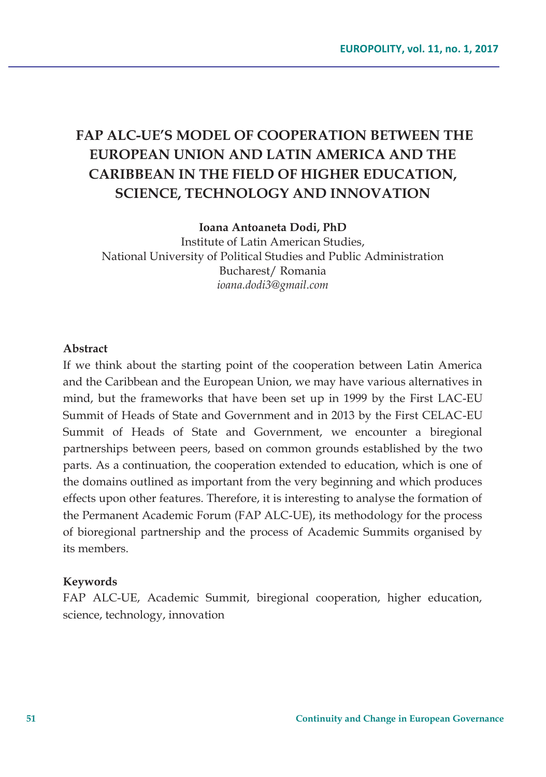# **FAP ALC-UE'S MODEL OF COOPERATION BETWEEN THE EUROPEAN UNION AND LATIN AMERICA AND THE CARIBBEAN IN THE FIELD OF HIGHER EDUCATION, SCIENCE, TECHNOLOGY AND INNOVATION**

**Ioana Antoaneta Dodi, PhD** 

Institute of Latin American Studies, National University of Political Studies and Public Administration Bucharest/ Romania *ioana.dodi3@gmail.com* 

#### **Abstract**

If we think about the starting point of the cooperation between Latin America and the Caribbean and the European Union, we may have various alternatives in mind, but the frameworks that have been set up in 1999 by the First LAC-EU Summit of Heads of State and Government and in 2013 by the First CELAC-EU Summit of Heads of State and Government, we encounter a biregional partnerships between peers, based on common grounds established by the two parts. As a continuation, the cooperation extended to education, which is one of the domains outlined as important from the very beginning and which produces effects upon other features. Therefore, it is interesting to analyse the formation of the Permanent Academic Forum (FAP ALC-UE), its methodology for the process of bioregional partnership and the process of Academic Summits organised by its members.

#### **Keywords**

FAP ALC-UE, Academic Summit, biregional cooperation, higher education, science, technology, innovation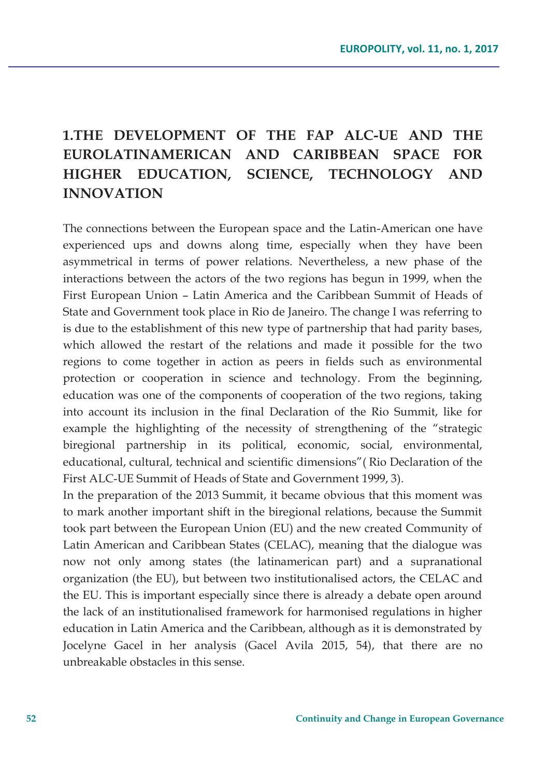# **1.THE DEVELOPMENT OF THE FAP ALC-UE AND THE EUROLATINAMERICAN AND CARIBBEAN SPACE FOR HIGHER EDUCATION, SCIENCE, TECHNOLOGY AND INNOVATION**

The connections between the European space and the Latin-American one have experienced ups and downs along time, especially when they have been asymmetrical in terms of power relations. Nevertheless, a new phase of the interactions between the actors of the two regions has begun in 1999, when the First European Union – Latin America and the Caribbean Summit of Heads of State and Government took place in Rio de Janeiro. The change I was referring to is due to the establishment of this new type of partnership that had parity bases, which allowed the restart of the relations and made it possible for the two regions to come together in action as peers in fields such as environmental protection or cooperation in science and technology. From the beginning, education was one of the components of cooperation of the two regions, taking into account its inclusion in the final Declaration of the Rio Summit, like for example the highlighting of the necessity of strengthening of the "strategic biregional partnership in its political, economic, social, environmental, educational, cultural, technical and scientific dimensions"( Rio Declaration of the First ALC-UE Summit of Heads of State and Government 1999, 3).

In the preparation of the 2013 Summit, it became obvious that this moment was to mark another important shift in the biregional relations, because the Summit took part between the European Union (EU) and the new created Community of Latin American and Caribbean States (CELAC), meaning that the dialogue was now not only among states (the latinamerican part) and a supranational organization (the EU), but between two institutionalised actors, the CELAC and the EU. This is important especially since there is already a debate open around the lack of an institutionalised framework for harmonised regulations in higher education in Latin America and the Caribbean, although as it is demonstrated by Jocelyne Gacel in her analysis (Gacel Avila 2015, 54), that there are no unbreakable obstacles in this sense.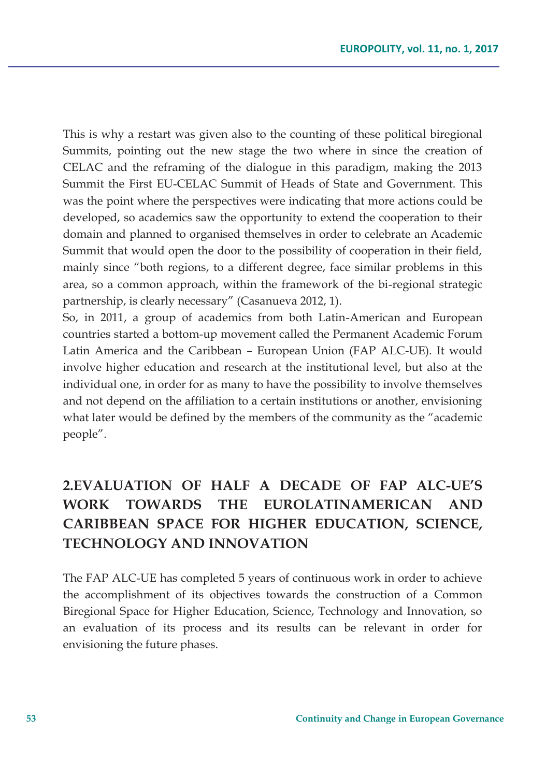This is why a restart was given also to the counting of these political biregional Summits, pointing out the new stage the two where in since the creation of CELAC and the reframing of the dialogue in this paradigm, making the 2013 Summit the First EU-CELAC Summit of Heads of State and Government. This was the point where the perspectives were indicating that more actions could be developed, so academics saw the opportunity to extend the cooperation to their domain and planned to organised themselves in order to celebrate an Academic Summit that would open the door to the possibility of cooperation in their field, mainly since "both regions, to a different degree, face similar problems in this area, so a common approach, within the framework of the bi-regional strategic partnership, is clearly necessary" (Casanueva 2012, 1).

So, in 2011, a group of academics from both Latin-American and European countries started a bottom-up movement called the Permanent Academic Forum Latin America and the Caribbean – European Union (FAP ALC-UE). It would involve higher education and research at the institutional level, but also at the individual one, in order for as many to have the possibility to involve themselves and not depend on the affiliation to a certain institutions or another, envisioning what later would be defined by the members of the community as the "academic people".

## **2.EVALUATION OF HALF A DECADE OF FAP ALC-UE'S WORK TOWARDS THE EUROLATINAMERICAN AND CARIBBEAN SPACE FOR HIGHER EDUCATION, SCIENCE, TECHNOLOGY AND INNOVATION**

The FAP ALC-UE has completed 5 years of continuous work in order to achieve the accomplishment of its objectives towards the construction of a Common Biregional Space for Higher Education, Science, Technology and Innovation, so an evaluation of its process and its results can be relevant in order for envisioning the future phases.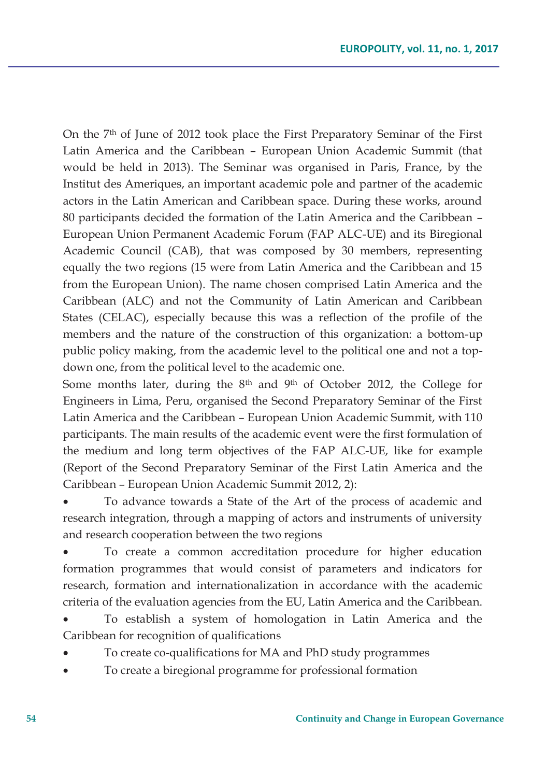On the 7th of June of 2012 took place the First Preparatory Seminar of the First Latin America and the Caribbean – European Union Academic Summit (that would be held in 2013). The Seminar was organised in Paris, France, by the Institut des Ameriques, an important academic pole and partner of the academic actors in the Latin American and Caribbean space. During these works, around 80 participants decided the formation of the Latin America and the Caribbean – European Union Permanent Academic Forum (FAP ALC-UE) and its Biregional Academic Council (CAB), that was composed by 30 members, representing equally the two regions (15 were from Latin America and the Caribbean and 15 from the European Union). The name chosen comprised Latin America and the Caribbean (ALC) and not the Community of Latin American and Caribbean States (CELAC), especially because this was a reflection of the profile of the members and the nature of the construction of this organization: a bottom-up public policy making, from the academic level to the political one and not a topdown one, from the political level to the academic one.

Some months later, during the 8th and 9th of October 2012, the College for Engineers in Lima, Peru, organised the Second Preparatory Seminar of the First Latin America and the Caribbean – European Union Academic Summit, with 110 participants. The main results of the academic event were the first formulation of the medium and long term objectives of the FAP ALC-UE, like for example (Report of the Second Preparatory Seminar of the First Latin America and the Caribbean – European Union Academic Summit 2012, 2):

To advance towards a State of the Art of the process of academic and research integration, through a mapping of actors and instruments of university and research cooperation between the two regions

To create a common accreditation procedure for higher education formation programmes that would consist of parameters and indicators for research, formation and internationalization in accordance with the academic criteria of the evaluation agencies from the EU, Latin America and the Caribbean.

To establish a system of homologation in Latin America and the Caribbean for recognition of qualifications

- To create co-qualifications for MA and PhD study programmes
- To create a biregional programme for professional formation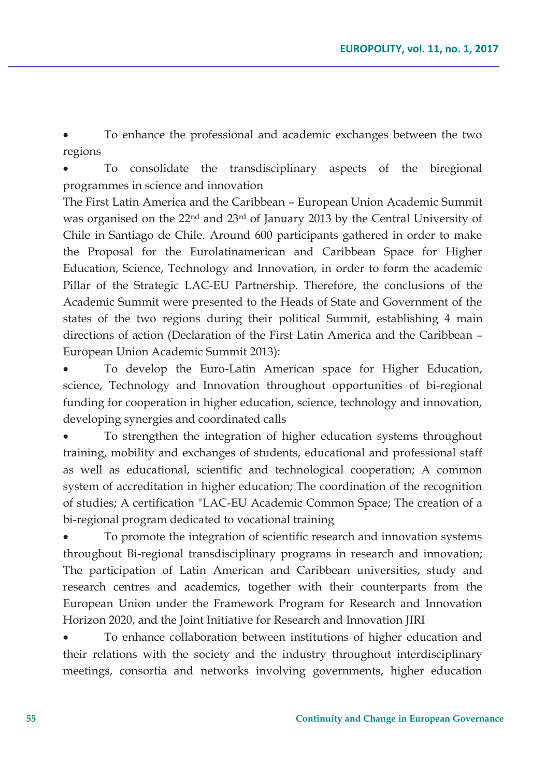To enhance the professional and academic exchanges between the two regions

To consolidate the transdisciplinary aspects of the biregional programmes in science and innovation

The First Latin America and the Caribbean – European Union Academic Summit was organised on the 22nd and 23rd of January 2013 by the Central University of Chile in Santiago de Chile. Around 600 participants gathered in order to make the Proposal for the Eurolatinamerican and Caribbean Space for Higher Education, Science, Technology and Innovation, in order to form the academic Pillar of the Strategic LAC-EU Partnership. Therefore, the conclusions of the Academic Summit were presented to the Heads of State and Government of the states of the two regions during their political Summit, establishing 4 main directions of action (Declaration of the First Latin America and the Caribbean – European Union Academic Summit 2013):

To develop the Euro-Latin American space for Higher Education, science, Technology and Innovation throughout opportunities of bi-regional funding for cooperation in higher education, science, technology and innovation, developing synergies and coordinated calls

To strengthen the integration of higher education systems throughout training, mobility and exchanges of students, educational and professional staff as well as educational, scientific and technological cooperation; A common system of accreditation in higher education; The coordination of the recognition of studies; A certification "LAC-EU Academic Common Space; The creation of a bi-regional program dedicated to vocational training

To promote the integration of scientific research and innovation systems throughout Bi-regional transdisciplinary programs in research and innovation; The participation of Latin American and Caribbean universities, study and research centres and academics, together with their counterparts from the European Union under the Framework Program for Research and Innovation Horizon 2020, and the Joint Initiative for Research and Innovation JIRI

To enhance collaboration between institutions of higher education and their relations with the society and the industry throughout interdisciplinary meetings, consortia and networks involving governments, higher education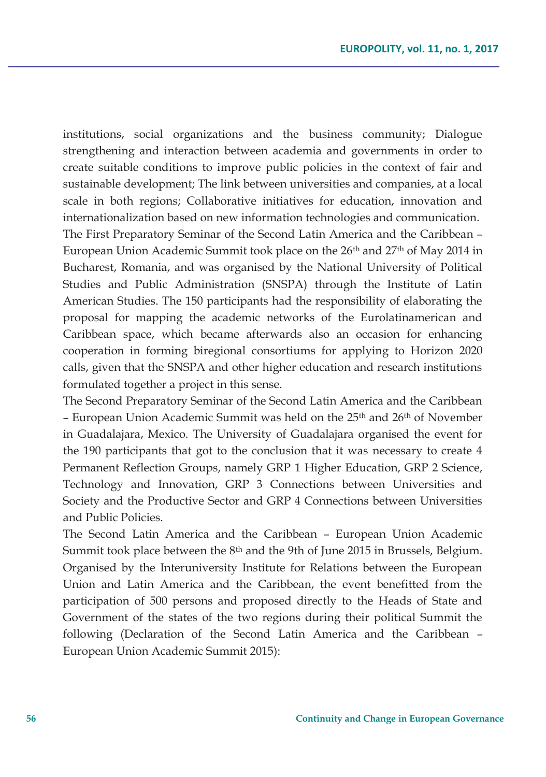institutions, social organizations and the business community; Dialogue strengthening and interaction between academia and governments in order to create suitable conditions to improve public policies in the context of fair and sustainable development; The link between universities and companies, at a local scale in both regions; Collaborative initiatives for education, innovation and internationalization based on new information technologies and communication. The First Preparatory Seminar of the Second Latin America and the Caribbean – European Union Academic Summit took place on the 26th and 27th of May 2014 in Bucharest, Romania, and was organised by the National University of Political Studies and Public Administration (SNSPA) through the Institute of Latin American Studies. The 150 participants had the responsibility of elaborating the proposal for mapping the academic networks of the Eurolatinamerican and Caribbean space, which became afterwards also an occasion for enhancing cooperation in forming biregional consortiums for applying to Horizon 2020 calls, given that the SNSPA and other higher education and research institutions formulated together a project in this sense.

The Second Preparatory Seminar of the Second Latin America and the Caribbean – European Union Academic Summit was held on the 25<sup>th</sup> and 26<sup>th</sup> of November in Guadalajara, Mexico. The University of Guadalajara organised the event for the 190 participants that got to the conclusion that it was necessary to create 4 Permanent Reflection Groups, namely GRP 1 Higher Education, GRP 2 Science, Technology and Innovation, GRP 3 Connections between Universities and Society and the Productive Sector and GRP 4 Connections between Universities and Public Policies.

The Second Latin America and the Caribbean – European Union Academic Summit took place between the 8th and the 9th of June 2015 in Brussels, Belgium. Organised by the Interuniversity Institute for Relations between the European Union and Latin America and the Caribbean, the event benefitted from the participation of 500 persons and proposed directly to the Heads of State and Government of the states of the two regions during their political Summit the following (Declaration of the Second Latin America and the Caribbean – European Union Academic Summit 2015):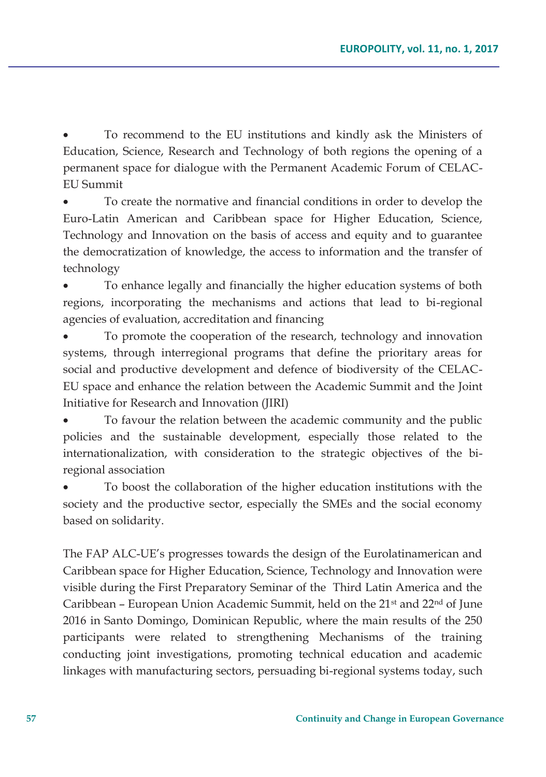To recommend to the EU institutions and kindly ask the Ministers of Education, Science, Research and Technology of both regions the opening of a permanent space for dialogue with the Permanent Academic Forum of CELAC-EU Summit

To create the normative and financial conditions in order to develop the Euro-Latin American and Caribbean space for Higher Education, Science, Technology and Innovation on the basis of access and equity and to guarantee the democratization of knowledge, the access to information and the transfer of technology

To enhance legally and financially the higher education systems of both regions, incorporating the mechanisms and actions that lead to bi-regional agencies of evaluation, accreditation and financing

To promote the cooperation of the research, technology and innovation systems, through interregional programs that define the prioritary areas for social and productive development and defence of biodiversity of the CELAC-EU space and enhance the relation between the Academic Summit and the Joint Initiative for Research and Innovation (JIRI)

To favour the relation between the academic community and the public policies and the sustainable development, especially those related to the internationalization, with consideration to the strategic objectives of the biregional association

To boost the collaboration of the higher education institutions with the society and the productive sector, especially the SMEs and the social economy based on solidarity.

The FAP ALC-UE's progresses towards the design of the Eurolatinamerican and Caribbean space for Higher Education, Science, Technology and Innovation were visible during the First Preparatory Seminar of the Third Latin America and the Caribbean – European Union Academic Summit, held on the  $21<sup>st</sup>$  and  $22<sup>nd</sup>$  of June 2016 in Santo Domingo, Dominican Republic, where the main results of the 250 participants were related to strengthening Mechanisms of the training conducting joint investigations, promoting technical education and academic linkages with manufacturing sectors, persuading bi-regional systems today, such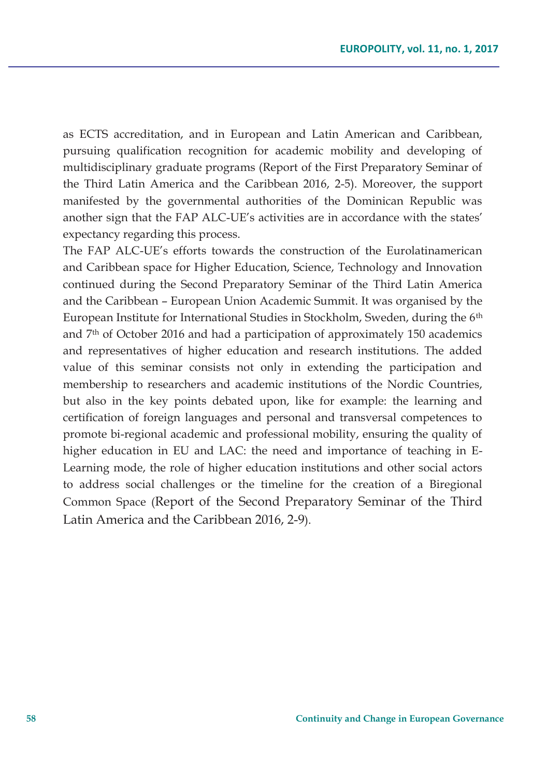as ECTS accreditation, and in European and Latin American and Caribbean, pursuing qualification recognition for academic mobility and developing of multidisciplinary graduate programs (Report of the First Preparatory Seminar of the Third Latin America and the Caribbean 2016, 2-5). Moreover, the support manifested by the governmental authorities of the Dominican Republic was another sign that the FAP ALC-UE's activities are in accordance with the states' expectancy regarding this process.

The FAP ALC-UE's efforts towards the construction of the Eurolatinamerican and Caribbean space for Higher Education, Science, Technology and Innovation continued during the Second Preparatory Seminar of the Third Latin America and the Caribbean – European Union Academic Summit. It was organised by the European Institute for International Studies in Stockholm, Sweden, during the 6<sup>th</sup> and  $7<sup>th</sup>$  of October 2016 and had a participation of approximately 150 academics and representatives of higher education and research institutions. The added value of this seminar consists not only in extending the participation and membership to researchers and academic institutions of the Nordic Countries, but also in the key points debated upon, like for example: the learning and certification of foreign languages and personal and transversal competences to promote bi-regional academic and professional mobility, ensuring the quality of higher education in EU and LAC: the need and importance of teaching in E-Learning mode, the role of higher education institutions and other social actors to address social challenges or the timeline for the creation of a Biregional Common Space (Report of the Second Preparatory Seminar of the Third Latin America and the Caribbean 2016, 2-9).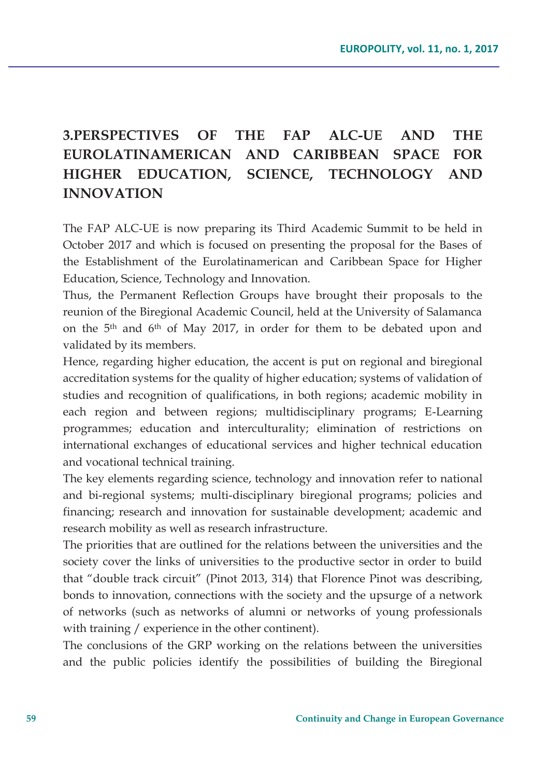## **3.PERSPECTIVES OF THE FAP ALC-UE AND THE EUROLATINAMERICAN AND CARIBBEAN SPACE FOR HIGHER EDUCATION, SCIENCE, TECHNOLOGY AND INNOVATION**

The FAP ALC-UE is now preparing its Third Academic Summit to be held in October 2017 and which is focused on presenting the proposal for the Bases of the Establishment of the Eurolatinamerican and Caribbean Space for Higher Education, Science, Technology and Innovation.

Thus, the Permanent Reflection Groups have brought their proposals to the reunion of the Biregional Academic Council, held at the University of Salamanca on the 5th and 6th of May 2017, in order for them to be debated upon and validated by its members.

Hence, regarding higher education, the accent is put on regional and biregional accreditation systems for the quality of higher education; systems of validation of studies and recognition of qualifications, in both regions; academic mobility in each region and between regions; multidisciplinary programs; E-Learning programmes; education and interculturality; elimination of restrictions on international exchanges of educational services and higher technical education and vocational technical training.

The key elements regarding science, technology and innovation refer to national and bi-regional systems; multi-disciplinary biregional programs; policies and financing; research and innovation for sustainable development; academic and research mobility as well as research infrastructure.

The priorities that are outlined for the relations between the universities and the society cover the links of universities to the productive sector in order to build that "double track circuit" (Pinot 2013, 314) that Florence Pinot was describing, bonds to innovation, connections with the society and the upsurge of a network of networks (such as networks of alumni or networks of young professionals with training / experience in the other continent).

The conclusions of the GRP working on the relations between the universities and the public policies identify the possibilities of building the Biregional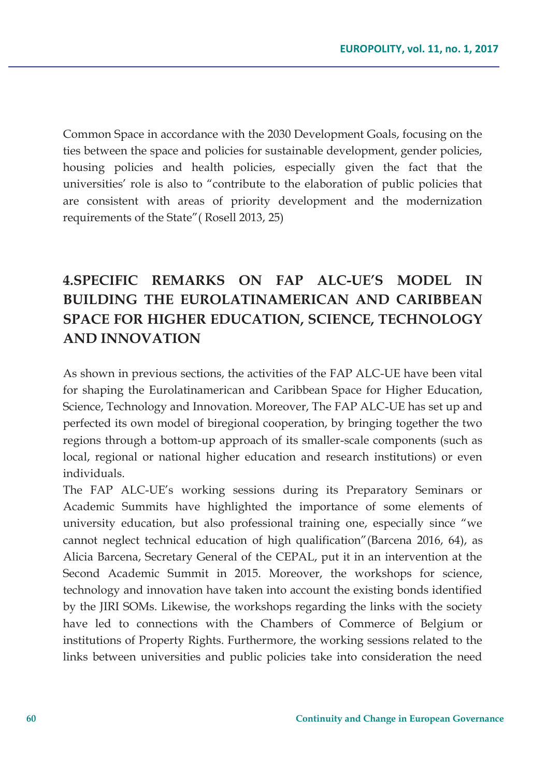Common Space in accordance with the 2030 Development Goals, focusing on the ties between the space and policies for sustainable development, gender policies, housing policies and health policies, especially given the fact that the universities' role is also to "contribute to the elaboration of public policies that are consistent with areas of priority development and the modernization requirements of the State"( Rosell 2013, 25)

## **4.SPECIFIC REMARKS ON FAP ALC-UE'S MODEL IN BUILDING THE EUROLATINAMERICAN AND CARIBBEAN SPACE FOR HIGHER EDUCATION, SCIENCE, TECHNOLOGY AND INNOVATION**

As shown in previous sections, the activities of the FAP ALC-UE have been vital for shaping the Eurolatinamerican and Caribbean Space for Higher Education, Science, Technology and Innovation. Moreover, The FAP ALC-UE has set up and perfected its own model of biregional cooperation, by bringing together the two regions through a bottom-up approach of its smaller-scale components (such as local, regional or national higher education and research institutions) or even individuals.

The FAP ALC-UE's working sessions during its Preparatory Seminars or Academic Summits have highlighted the importance of some elements of university education, but also professional training one, especially since "we cannot neglect technical education of high qualification"(Barcena 2016, 64), as Alicia Barcena, Secretary General of the CEPAL, put it in an intervention at the Second Academic Summit in 2015. Moreover, the workshops for science, technology and innovation have taken into account the existing bonds identified by the JIRI SOMs. Likewise, the workshops regarding the links with the society have led to connections with the Chambers of Commerce of Belgium or institutions of Property Rights. Furthermore, the working sessions related to the links between universities and public policies take into consideration the need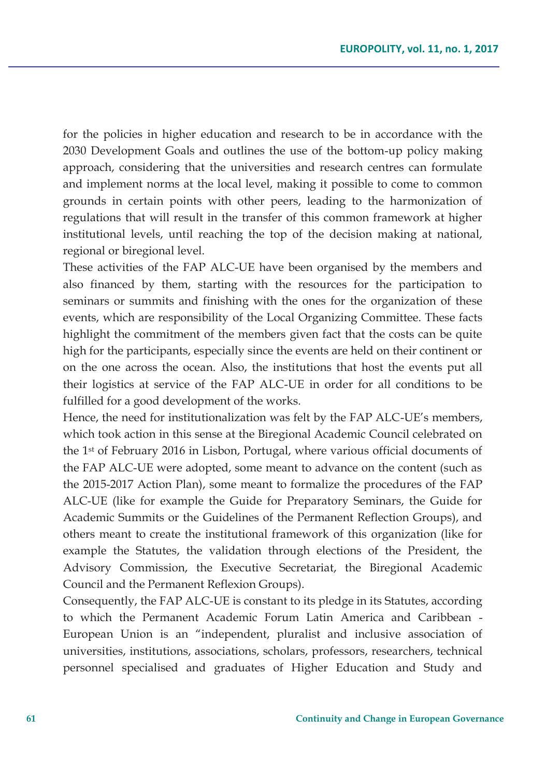for the policies in higher education and research to be in accordance with the 2030 Development Goals and outlines the use of the bottom-up policy making approach, considering that the universities and research centres can formulate and implement norms at the local level, making it possible to come to common grounds in certain points with other peers, leading to the harmonization of regulations that will result in the transfer of this common framework at higher institutional levels, until reaching the top of the decision making at national, regional or biregional level.

These activities of the FAP ALC-UE have been organised by the members and also financed by them, starting with the resources for the participation to seminars or summits and finishing with the ones for the organization of these events, which are responsibility of the Local Organizing Committee. These facts highlight the commitment of the members given fact that the costs can be quite high for the participants, especially since the events are held on their continent or on the one across the ocean. Also, the institutions that host the events put all their logistics at service of the FAP ALC-UE in order for all conditions to be fulfilled for a good development of the works.

Hence, the need for institutionalization was felt by the FAP ALC-UE's members, which took action in this sense at the Biregional Academic Council celebrated on the 1st of February 2016 in Lisbon, Portugal, where various official documents of the FAP ALC-UE were adopted, some meant to advance on the content (such as the 2015-2017 Action Plan), some meant to formalize the procedures of the FAP ALC-UE (like for example the Guide for Preparatory Seminars, the Guide for Academic Summits or the Guidelines of the Permanent Reflection Groups), and others meant to create the institutional framework of this organization (like for example the Statutes, the validation through elections of the President, the Advisory Commission, the Executive Secretariat, the Biregional Academic Council and the Permanent Reflexion Groups).

Consequently, the FAP ALC-UE is constant to its pledge in its Statutes, according to which the Permanent Academic Forum Latin America and Caribbean - European Union is an "independent, pluralist and inclusive association of universities, institutions, associations, scholars, professors, researchers, technical personnel specialised and graduates of Higher Education and Study and